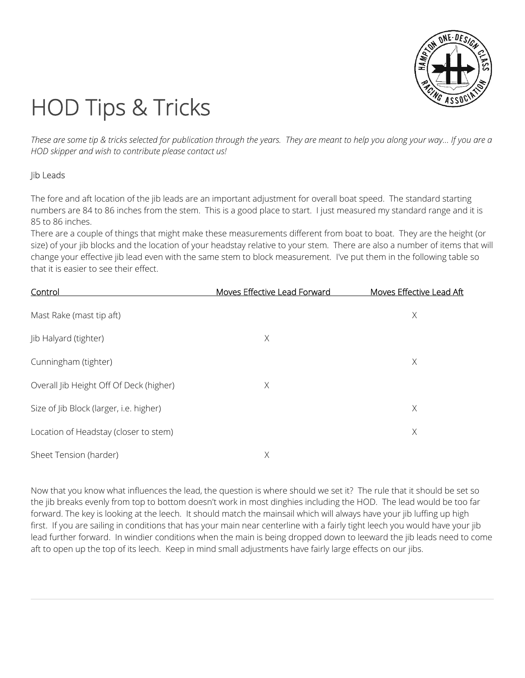

# HOD Tips & Tricks

*These are some tip & tricks selected for publication through the years. They are meant to help you along your way... If you are a HOD skipper and wish to contribute please contact us!*

# Jib Leads

The fore and aft location of the jib leads are an important adjustment for overall boat speed. The standard starting numbers are 84 to 86 inches from the stem. This is a good place to start. I just measured my standard range and it is 85 to 86 inches.

There are a couple of things that might make these measurements different from boat to boat. They are the height (or size) of your jib blocks and the location of your headstay relative to your stem. There are also a number of items that will change your effective jib lead even with the same stem to block measurement. I've put them in the following table so that it is easier to see their effect.

| Control                                 | Moves Effective Lead Forward | Moves Effective Lead Aft |
|-----------------------------------------|------------------------------|--------------------------|
| Mast Rake (mast tip aft)                |                              | X                        |
| Jib Halyard (tighter)                   | Χ                            |                          |
| Cunningham (tighter)                    |                              | X                        |
| Overall Jib Height Off Of Deck (higher) | Χ                            |                          |
| Size of Jib Block (larger, i.e. higher) |                              | Χ                        |
| Location of Headstay (closer to stem)   |                              | Χ                        |
| Sheet Tension (harder)                  | Χ                            |                          |

Now that you know what influences the lead, the question is where should we set it? The rule that it should be set so the jib breaks evenly from top to bottom doesn't work in most dinghies including the HOD. The lead would be too far forward. The key is looking at the leech. It should match the mainsail which will always have your jib luffing up high first. If you are sailing in conditions that has your main near centerline with a fairly tight leech you would have your jib lead further forward. In windier conditions when the main is being dropped down to leeward the jib leads need to come aft to open up the top of its leech. Keep in mind small adjustments have fairly large effects on our jibs.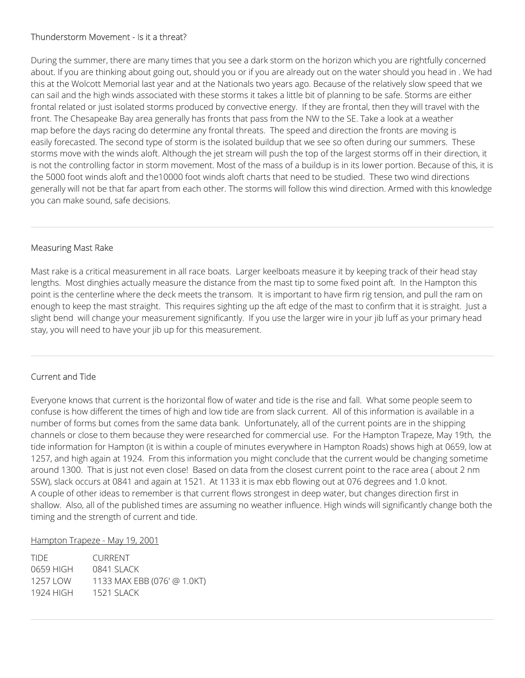# Thunderstorm Movement - Is it a threat?

During the summer, there are many times that you see a dark storm on the horizon which you are rightfully concerned about. If you are thinking about going out, should you or if you are already out on the water should you head in . We had this at the Wolcott Memorial last year and at the Nationals two years ago. Because of the relatively slow speed that we can sail and the high winds associated with these storms it takes a little bit of planning to be safe. Storms are either frontal related or just isolated storms produced by convective energy. If they are frontal, then they will travel with the front. The Chesapeake Bay area generally has fronts that pass from the NW to the SE. Take a look at a weather map before the days racing do determine any frontal threats. The speed and direction the fronts are moving is easily forecasted. The second type of storm is the isolated buildup that we see so often during our summers. These storms move with the winds aloft. Although the jet stream will push the top of the largest storms off in their direction, it is not the controlling factor in storm movement. Most of the mass of a buildup is in its lower portion. Because of this, it is the 5000 foot winds aloft and the10000 foot winds aloft charts that need to be studied. These two wind directions generally will not be that far apart from each other. The storms will follow this wind direction. Armed with this knowledge you can make sound, safe decisions.

#### Measuring Mast Rake

Mast rake is a critical measurement in all race boats. Larger keelboats measure it by keeping track of their head stay lengths. Most dinghies actually measure the distance from the mast tip to some fixed point aft. In the Hampton this point is the centerline where the deck meets the transom. It is important to have firm rig tension, and pull the ram on enough to keep the mast straight. This requires sighting up the aft edge of the mast to confirm that it is straight. Just a slight bend will change your measurement significantly. If you use the larger wire in your jib luff as your primary head stay, you will need to have your jib up for this measurement.

# Current and Tide

Everyone knows that current is the horizontal flow of water and tide is the rise and fall. What some people seem to confuse is how different the times of high and low tide are from slack current. All of this information is available in a number of forms but comes from the same data bank. Unfortunately, all of the current points are in the shipping channels or close to them because they were researched for commercial use. For the Hampton Trapeze, May 19th, the tide information for Hampton (it is within a couple of minutes everywhere in Hampton Roads) shows high at 0659, low at 1257, and high again at 1924. From this information you might conclude that the current would be changing sometime around 1300. That is just not even close! Based on data from the closest current point to the race area ( about 2 nm SSW), slack occurs at 0841 and again at 1521. At 1133 it is max ebb flowing out at 076 degrees and 1.0 knot. A couple of other ideas to remember is that current flows strongest in deep water, but changes direction first in shallow. Also, all of the published times are assuming no weather influence. High winds will significantly change both the timing and the strength of current and tide.

#### Hampton Trapeze - May 19, 2001

| TIDE.     | CURRENT                     |
|-----------|-----------------------------|
| 0659 HIGH | 0841 SLACK                  |
| 1257 I OW | 1133 MAX EBB (076' @ 1.0KT) |
| 1924 HIGH | 1521 SI ACK                 |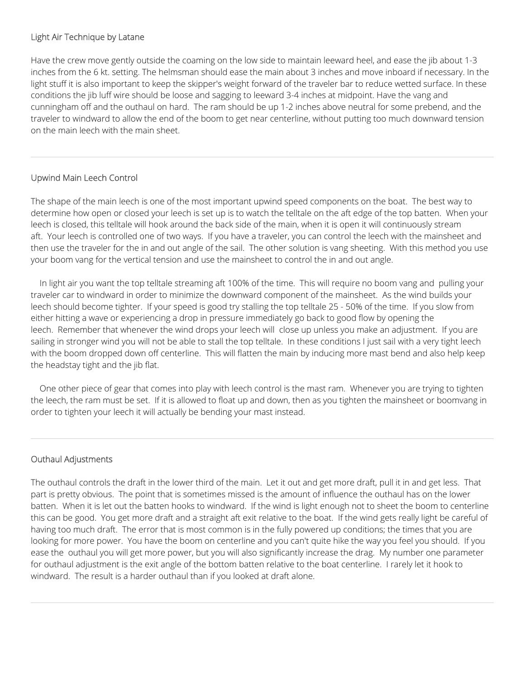## Light Air Technique by Latane

Have the crew move gently outside the coaming on the low side to maintain leeward heel, and ease the jib about 1-3 inches from the 6 kt. setting. The helmsman should ease the main about 3 inches and move inboard if necessary. In the light stuff it is also important to keep the skipper's weight forward of the traveler bar to reduce wetted surface. In these conditions the jib luff wire should be loose and sagging to leeward 3-4 inches at midpoint. Have the vang and cunningham off and the outhaul on hard. The ram should be up 1-2 inches above neutral for some prebend, and the traveler to windward to allow the end of the boom to get near centerline, without putting too much downward tension on the main leech with the main sheet.

## Upwind Main Leech Control

The shape of the main leech is one of the most important upwind speed components on the boat. The best way to determine how open or closed your leech is set up is to watch the telltale on the aft edge of the top batten. When your leech is closed, this telltale will hook around the back side of the main, when it is open it will continuously stream aft. Your leech is controlled one of two ways. If you have a traveler, you can control the leech with the mainsheet and then use the traveler for the in and out angle of the sail. The other solution is vang sheeting. With this method you use your boom vang for the vertical tension and use the mainsheet to control the in and out angle.

 In light air you want the top telltale streaming aft 100% of the time. This will require no boom vang and pulling your traveler car to windward in order to minimize the downward component of the mainsheet. As the wind builds your leech should become tighter. If your speed is good try stalling the top telltale 25 - 50% of the time. If you slow from either hitting a wave or experiencing a drop in pressure immediately go back to good flow by opening the leech. Remember that whenever the wind drops your leech will close up unless you make an adjustment. If you are sailing in stronger wind you will not be able to stall the top telltale. In these conditions I just sail with a very tight leech with the boom dropped down off centerline. This will flatten the main by inducing more mast bend and also help keep the headstay tight and the jib flat.

 One other piece of gear that comes into play with leech control is the mast ram. Whenever you are trying to tighten the leech, the ram must be set. If it is allowed to float up and down, then as you tighten the mainsheet or boomvang in order to tighten your leech it will actually be bending your mast instead.

# Outhaul Adjustments

The outhaul controls the draft in the lower third of the main. Let it out and get more draft, pull it in and get less. That part is pretty obvious. The point that is sometimes missed is the amount of influence the outhaul has on the lower batten. When it is let out the batten hooks to windward. If the wind is light enough not to sheet the boom to centerline this can be good. You get more draft and a straight aft exit relative to the boat. If the wind gets really light be careful of having too much draft. The error that is most common is in the fully powered up conditions; the times that you are looking for more power. You have the boom on centerline and you can't quite hike the way you feel you should. If you ease the outhaul you will get more power, but you will also significantly increase the drag. My number one parameter for outhaul adjustment is the exit angle of the bottom batten relative to the boat centerline. I rarely let it hook to windward. The result is a harder outhaul than if you looked at draft alone.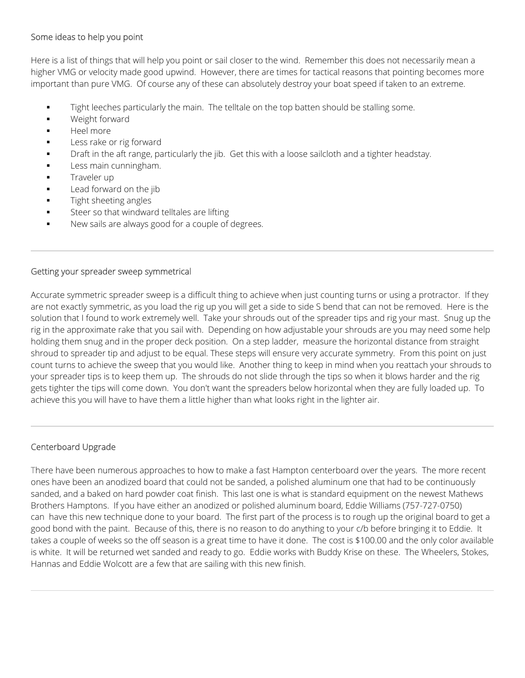## Some ideas to help you point

Here is a list of things that will help you point or sail closer to the wind. Remember this does not necessarily mean a higher VMG or velocity made good upwind. However, there are times for tactical reasons that pointing becomes more important than pure VMG. Of course any of these can absolutely destroy your boat speed if taken to an extreme.

- Tight leeches particularly the main. The telltale on the top batten should be stalling some.
- **Weight forward**
- Heel more
- Less rake or rig forward
- Draft in the aft range, particularly the jib. Get this with a loose sailcloth and a tighter headstay.
- Less main cunningham.
- Traveler up
- Lead forward on the jib
- Tight sheeting angles
- Steer so that windward telltales are lifting
- New sails are always good for a couple of degrees.

#### Getting your spreader sweep symmetrical

Accurate symmetric spreader sweep is a difficult thing to achieve when just counting turns or using a protractor. If they are not exactly symmetric, as you load the rig up you will get a side to side S bend that can not be removed. Here is the solution that I found to work extremely well. Take your shrouds out of the spreader tips and rig your mast. Snug up the rig in the approximate rake that you sail with. Depending on how adjustable your shrouds are you may need some help holding them snug and in the proper deck position. On a step ladder, measure the horizontal distance from straight shroud to spreader tip and adjust to be equal. These steps will ensure very accurate symmetry. From this point on just count turns to achieve the sweep that you would like. Another thing to keep in mind when you reattach your shrouds to your spreader tips is to keep them up. The shrouds do not slide through the tips so when it blows harder and the rig gets tighter the tips will come down. You don't want the spreaders below horizontal when they are fully loaded up. To achieve this you will have to have them a little higher than what looks right in the lighter air.

#### Centerboard Upgrade

There have been numerous approaches to how to make a fast Hampton centerboard over the years. The more recent ones have been an anodized board that could not be sanded, a polished aluminum one that had to be continuously sanded, and a baked on hard powder coat finish. This last one is what is standard equipment on the newest Mathews Brothers Hamptons. If you have either an anodized or polished aluminum board, Eddie Williams (757-727-0750) can have this new technique done to your board. The first part of the process is to rough up the original board to get a good bond with the paint. Because of this, there is no reason to do anything to your c/b before bringing it to Eddie. It takes a couple of weeks so the off season is a great time to have it done. The cost is \$100.00 and the only color available is white. It will be returned wet sanded and ready to go. Eddie works with Buddy Krise on these. The Wheelers, Stokes, Hannas and Eddie Wolcott are a few that are sailing with this new finish.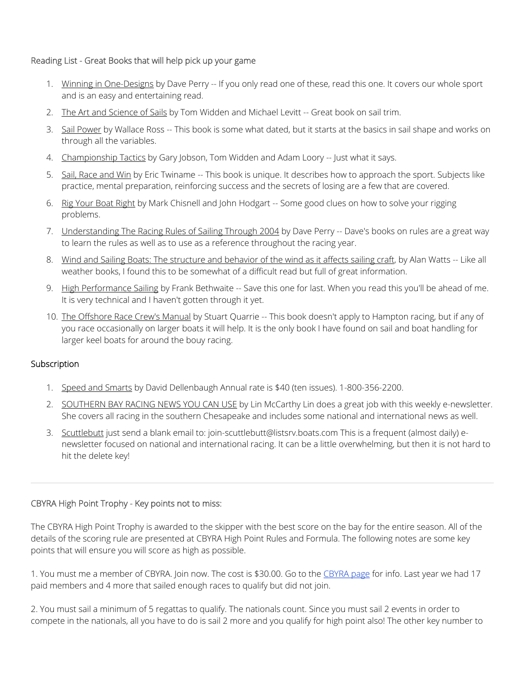## Reading List - Great Books that will help pick up your game

- 1. Winning in One-Designs by Dave Perry -- If you only read one of these, read this one. It covers our whole sport and is an easy and entertaining read.
- 2. The Art and Science of Sails by Tom Widden and Michael Levitt -- Great book on sail trim.
- 3. Sail Power by Wallace Ross -- This book is some what dated, but it starts at the basics in sail shape and works on through all the variables.
- 4. Championship Tactics by Gary Jobson, Tom Widden and Adam Loory -- Just what it says.
- 5. Sail, Race and Win by Eric Twiname -- This book is unique. It describes how to approach the sport. Subjects like practice, mental preparation, reinforcing success and the secrets of losing are a few that are covered.
- 6. Rig Your Boat Right by Mark Chisnell and John Hodgart -- Some good clues on how to solve your rigging problems.
- 7. Understanding The Racing Rules of Sailing Through 2004 by Dave Perry -- Dave's books on rules are a great way to learn the rules as well as to use as a reference throughout the racing year.
- 8. Wind and Sailing Boats: The structure and behavior of the wind as it affects sailing craft, by Alan Watts -- Like all weather books, I found this to be somewhat of a difficult read but full of great information.
- 9. High Performance Sailing by Frank Bethwaite -- Save this one for last. When you read this you'll be ahead of me. It is very technical and I haven't gotten through it yet.
- 10. The Offshore Race Crew's Manual by Stuart Quarrie -- This book doesn't apply to Hampton racing, but if any of you race occasionally on larger boats it will help. It is the only book I have found on sail and boat handling for larger keel boats for around the bouy racing.

#### **Subscription**

- 1. Speed and Smarts by David Dellenbaugh Annual rate is \$40 (ten issues). 1-800-356-2200.
- 2. SOUTHERN BAY RACING NEWS YOU CAN USE by Lin McCarthy Lin does a great job with this weekly e-newsletter. She covers all racing in the southern Chesapeake and includes some national and international news as well.
- 3. Scuttlebutt just send a blank email to: join-scuttlebutt@listsrv.boats.com This is a frequent (almost daily) enewsletter focused on national and international racing. It can be a little overwhelming, but then it is not hard to hit the delete key!

# CBYRA High Point Trophy - Key points not to miss:

The CBYRA High Point Trophy is awarded to the skipper with the best score on the bay for the entire season. All of the details of the scoring rule are presented at CBYRA High Point Rules and Formula. The following notes are some key points that will ensure you will score as high as possible.

1. You must me a member of CBYRA. Join now. The cost is \$30.00. Go to the CBYRA page for info. Last year we had 17 paid members and 4 more that sailed enough races to qualify but did not join.

2. You must sail a minimum of 5 regattas to qualify. The nationals count. Since you must sail 2 events in order to compete in the nationals, all you have to do is sail 2 more and you qualify for high point also! The other key number to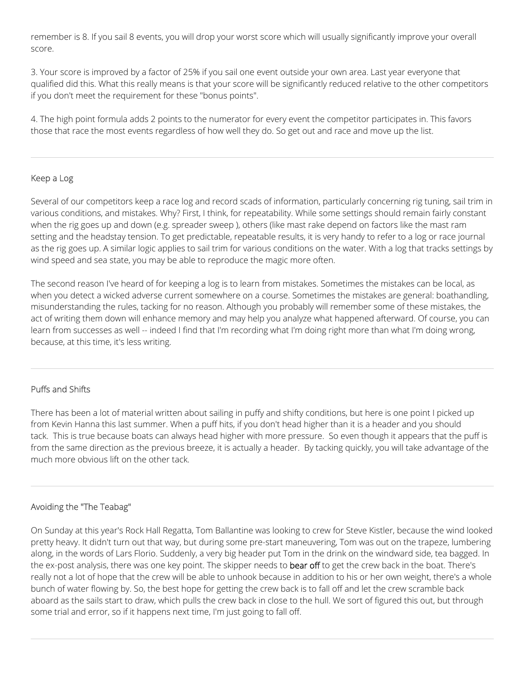remember is 8. If you sail 8 events, you will drop your worst score which will usually significantly improve your overall score.

3. Your score is improved by a factor of 25% if you sail one event outside your own area. Last year everyone that qualified did this. What this really means is that your score will be significantly reduced relative to the other competitors if you don't meet the requirement for these "bonus points".

4. The high point formula adds 2 points to the numerator for every event the competitor participates in. This favors those that race the most events regardless of how well they do. So get out and race and move up the list.

#### Keep a Log

Several of our competitors keep a race log and record scads of information, particularly concerning rig tuning, sail trim in various conditions, and mistakes. Why? First, I think, for repeatability. While some settings should remain fairly constant when the rig goes up and down (e.g. spreader sweep ), others (like mast rake depend on factors like the mast ram setting and the headstay tension. To get predictable, repeatable results, it is very handy to refer to a log or race journal as the rig goes up. A similar logic applies to sail trim for various conditions on the water. With a log that tracks settings by wind speed and sea state, you may be able to reproduce the magic more often.

The second reason I've heard of for keeping a log is to learn from mistakes. Sometimes the mistakes can be local, as when you detect a wicked adverse current somewhere on a course. Sometimes the mistakes are general: boathandling, misunderstanding the rules, tacking for no reason. Although you probably will remember some of these mistakes, the act of writing them down will enhance memory and may help you analyze what happened afterward. Of course, you can learn from successes as well -- indeed I find that I'm recording what I'm doing right more than what I'm doing wrong, because, at this time, it's less writing.

#### Puffs and Shifts

There has been a lot of material written about sailing in puffy and shifty conditions, but here is one point I picked up from Kevin Hanna this last summer. When a puff hits, if you don't head higher than it is a header and you should tack. This is true because boats can always head higher with more pressure. So even though it appears that the puff is from the same direction as the previous breeze, it is actually a header. By tacking quickly, you will take advantage of the much more obvious lift on the other tack.

#### Avoiding the "The Teabag"

On Sunday at this year's Rock Hall Regatta, Tom Ballantine was looking to crew for Steve Kistler, because the wind looked pretty heavy. It didn't turn out that way, but during some pre-start maneuvering, Tom was out on the trapeze, lumbering along, in the words of Lars Florio. Suddenly, a very big header put Tom in the drink on the windward side, tea bagged. In the ex-post analysis, there was one key point. The skipper needs to bear off to get the crew back in the boat. There's really not a lot of hope that the crew will be able to unhook because in addition to his or her own weight, there's a whole bunch of water flowing by. So, the best hope for getting the crew back is to fall off and let the crew scramble back aboard as the sails start to draw, which pulls the crew back in close to the hull. We sort of figured this out, but through some trial and error, so if it happens next time, I'm just going to fall off.